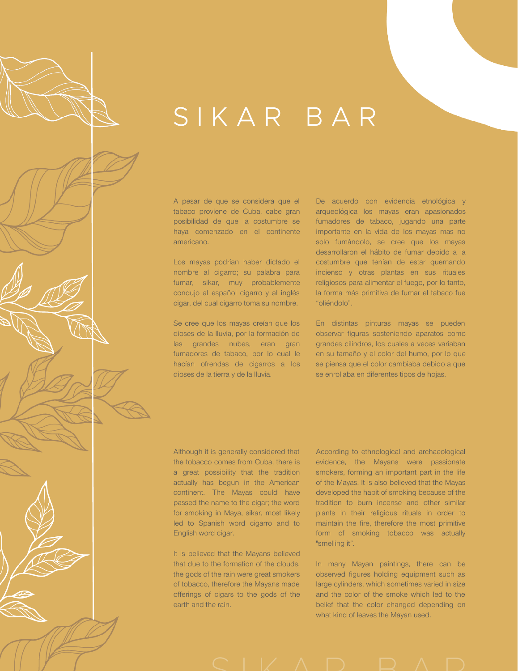A pesar de que se considera que el tabaco proviene de Cuba, cabe gran posibilidad de que la costumbre se haya comenzado en el continente americano.

Los mayas podrían haber dictado el nombre al cigarro; su palabra para fumar, sikar, muy probablemente condujo al español cigarro y al inglés cigar, del cual cigarro toma su nombre.

Se cree que los mayas creían que los dioses de la lluvia, por la formación de las grandes nubes, eran gran fumadores de tabaco, por lo cual le hacían ofrendas de cigarros a los dioses de la tierra y de la lluvia.

De acuerdo con evidencia etnológica y arqueológica los mayas eran apasionados fumadores de tabaco, jugando una parte importante en la vida de los mayas mas no solo fumándolo, se cree que los mayas desarrollaron el hábito de fumar debido a la costumbre que tenían de estar quemando incienso y otras plantas en sus rituales religiosos para alimentar el fuego, por lo tanto, la forma más primitiva de fumar el tabaco fue "oliéndolo".

En distintas pinturas mayas se pueden observar figuras sosteniendo aparatos como grandes cilindros, los cuales a veces variaban en su tamaño y el color del humo, por lo que se piensa que el color cambiaba debido a que se enrollaba en diferentes tipos de hojas.

Although it is generally considered that the tobacco comes from Cuba, there is a great possibility that the tradition actually has begun in the American continent. The Mayas could have passed the name to the cigar; the word for smoking in Maya, sikar, most likely led to Spanish word cigarro and to English word cigar.

It is believed that the Mayans believed that due to the formation of the clouds, the gods of the rain were great smokers of tobacco, therefore the Mayans made offerings of cigars to the gods of the earth and the rain.

According to ethnological and archaeological evidence, the Mayans were passionate smokers, forming an important part in the life of the Mayas. It is also believed that the Mayas developed the habit of smoking because of the tradition to burn incense and other similar plants in their religious rituals in order to maintain the fire, therefore the most primitive form of smoking tobacco was actually "smelling it".

In many Mayan paintings, there can be observed figures holding equipment such as large cylinders, which sometimes varied in size and the color of the smoke which led to the belief that the color changed depending on what kind of leaves the Mayan used.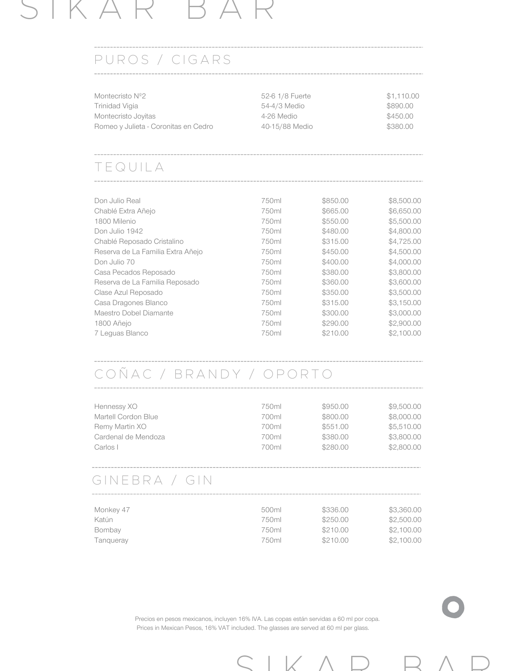### PUROS / CIGARS

| Montecristo Nº2                      | 52-6 1/8 Fuerte | \$1,110,00 |
|--------------------------------------|-----------------|------------|
| Trinidad Vigia                       | 54-4/3 Medio    | \$890.00   |
| Montecristo Joyitas                  | 4-26 Medio      | \$450.00   |
| Romeo y Julieta - Coronitas en Cedro | 40-15/88 Medio  | \$380.00   |

#### T E Q U I L A

| Don Julio Real                    | 750ml | \$850.00 | \$8,500.00 |
|-----------------------------------|-------|----------|------------|
| Chablé Extra Añejo                | 750ml | \$665.00 | \$6,650.00 |
| 1800 Milenio                      | 750ml | \$550.00 | \$5,500.00 |
| Don Julio 1942                    | 750ml | \$480.00 | \$4,800.00 |
| Chablé Reposado Cristalino        | 750ml | \$315.00 | \$4,725.00 |
| Reserva de La Familia Extra Añejo | 750ml | \$450.00 | \$4,500.00 |
| Don Julio 70                      | 750ml | \$400.00 | \$4,000.00 |
| Casa Pecados Reposado             | 750ml | \$380.00 | \$3,800.00 |
| Reserva de La Familia Reposado    | 750ml | \$360.00 | \$3,600.00 |
| Clase Azul Reposado               | 750ml | \$350.00 | \$3,500.00 |
| Casa Dragones Blanco              | 750ml | \$315.00 | \$3,150.00 |
| Maestro Dobel Diamante            | 750ml | \$300.00 | \$3,000.00 |
| 1800 Añejo                        | 750ml | \$290.00 | \$2,900.00 |
| 7 Leguas Blanco                   | 750ml | \$210.00 | \$2,100.00 |
|                                   |       |          |            |

### C O Ñ A C / B R A N D Y / O P O R T O

| Hennessy XO         | 750ml | \$950.00 | \$9,500.00 |
|---------------------|-------|----------|------------|
| Martell Cordon Blue | 700ml | \$800.00 | \$8,000.00 |
| Remy Martin XO      | 700ml | \$551.00 | \$5,510,00 |
| Cardenal de Mendoza | 700ml | \$380.00 | \$3,800.00 |
| Carlos I            | 700ml | \$280.00 | \$2,800.00 |
|                     |       |          |            |

### GINEBRA / GIN

| Monkey 47 | 500ml | \$336.00 | \$3,360.00 |
|-----------|-------|----------|------------|
| Katún     | 750ml | \$250.00 | \$2,500.00 |
| Bombay    | 750ml | \$210.00 | \$2,100.00 |
| Tangueray | 750ml | \$210.00 | \$2,100.00 |

Precios en pesos mexicanos, incluyen 16% IVA. Las copas están servidas a 60 ml por copa. Prices in Mexican Pesos, 16% VAT included. The glasses are served at 60 ml per glass.

 $S$  I K  $A$  D  $B$   $A$  D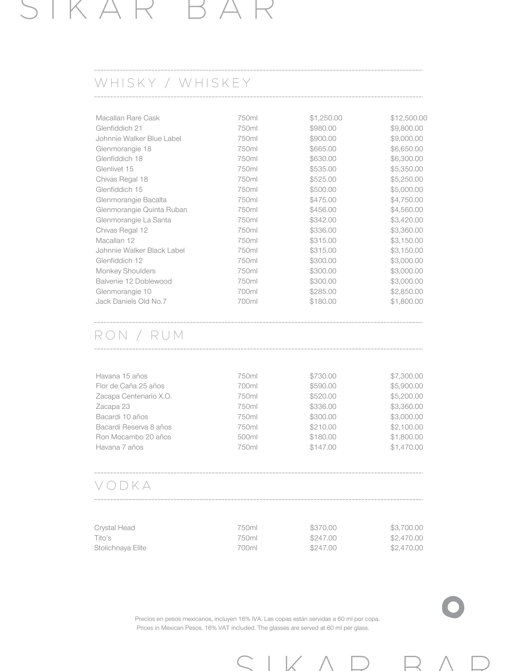### WHISKY / WHISKEY

| 750ml | \$1,250.00 | \$12,500.00 |
|-------|------------|-------------|
| 750ml | \$980.00   | \$9,800.00  |
| 750ml | \$900.00   | \$9,000.00  |
| 750ml | \$665.00   | \$6,650.00  |
| 750ml | \$630.00   | \$6,300.00  |
| 750ml | \$535.00   | \$5,350.00  |
| 750ml | \$525.00   | \$5,250.00  |
| 750ml | \$500.00   | \$5,000.00  |
| 750ml | \$475.00   | \$4,750.00  |
| 750ml | \$456.00   | \$4,560.00  |
| 750ml | \$342.00   | \$3,420.00  |
| 750ml | \$336,00   | \$3,360.00  |
| 750ml | \$315.00   | \$3,150.00  |
| 750ml | \$315.00   | \$3,150.00  |
| 750ml | \$300.00   | \$3,000.00  |
| 750ml | \$300.00   | \$3,000.00  |
| 750ml | \$300.00   | \$3,000.00  |
| 700ml | \$285.00   | \$2,850.00  |
| 700ml | \$180.00   | \$1,800.00  |
|       |            |             |

### R O N / R U M

| Havana 15 años         | 750ml | \$730.00 | \$7,300.00 |
|------------------------|-------|----------|------------|
| Flor de Caña 25 años   | 700ml | \$590.00 | \$5,900.00 |
| Zacapa Centenario X.O. | 750ml | \$520.00 | \$5,200.00 |
| Zacapa 23              | 750ml | \$336.00 | \$3,360.00 |
| Bacardi 10 años        | 750ml | \$300.00 | \$3,000.00 |
| Bacardi Reserva 8 años | 750ml | \$210.00 | \$2,100.00 |
| Ron Mocambo 20 años    | 500ml | \$180.00 | \$1,800.00 |
| Havana 7 años          | 750ml | \$147.00 | \$1,470.00 |
|                        |       |          |            |
|                        |       |          |            |

#### V O D K A

| Crystal Head      | 750ml | \$370.00 | \$3,700.00 |
|-------------------|-------|----------|------------|
| Tito's            | 750ml | \$247.00 | \$2,470.00 |
| Stolichnaya Elite | 700ml | \$247.00 | \$2,470,00 |

Precios en pesos mexicanos, incluyen 16% IVA. Las copas están servidas a 60 ml por copa. Prices in Mexican Pesos, 16% VAT included. The glasses are served at 60 ml per glass.

 $S$  I K  $A$  D  $B$   $A$  D